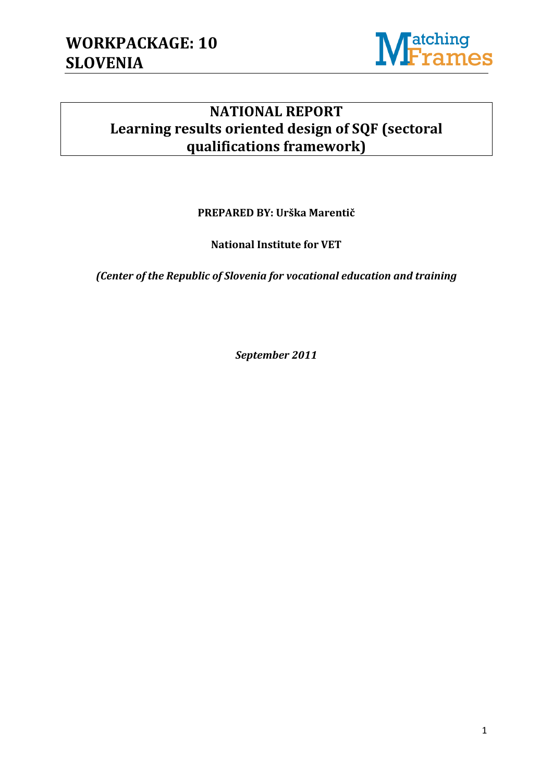

## **NATIONAL REPORT Learning results oriented design of SQF (sectoral qualifications framework)**

**PREPARED BY: Urška Marentič**

**National Institute for VET**

*(Center of the Republic of Slovenia for vocational education and training*

*September 2011*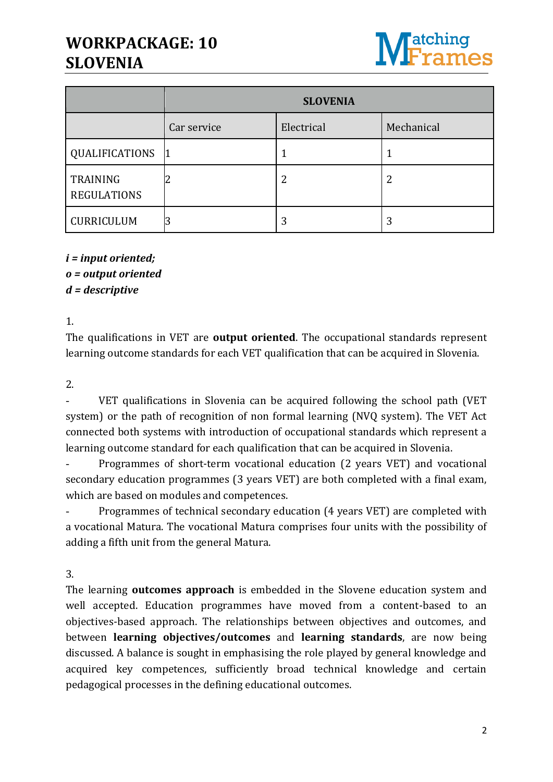## **WORKPACKAGE: 10 SLOVENIA**



|                                       | <b>SLOVENIA</b> |            |            |
|---------------------------------------|-----------------|------------|------------|
|                                       | Car service     | Electrical | Mechanical |
| QUALIFICATIONS                        |                 |            |            |
| <b>TRAINING</b><br><b>REGULATIONS</b> |                 | 2          | 2          |
| CURRICULUM                            | 3               | 3          | 3          |

## *i = input oriented; o = output oriented*

*d = descriptive*

1.

The qualifications in VET are **output oriented**. The occupational standards represent learning outcome standards for each VET qualification that can be acquired in Slovenia.

2.

 VET qualifications in Slovenia can be acquired following the school path (VET system) or the path of recognition of non formal learning (NVQ system). The VET Act connected both systems with introduction of occupational standards which represent a learning outcome standard for each qualification that can be acquired in Slovenia.

 Programmes of short-term vocational education (2 years VET) and vocational secondary education programmes (3 years VET) are both completed with a final exam, which are based on modules and competences.

 Programmes of technical secondary education (4 years VET) are completed with a vocational Matura. The vocational Matura comprises four units with the possibility of adding a fifth unit from the general Matura.

3.

The learning **outcomes approach** is embedded in the Slovene education system and well accepted. Education programmes have moved from a content-based to an objectives-based approach. The relationships between objectives and outcomes, and between **learning objectives/outcomes** and **learning standards**, are now being discussed. A balance is sought in emphasising the role played by general knowledge and acquired key competences, sufficiently broad technical knowledge and certain pedagogical processes in the defining educational outcomes.